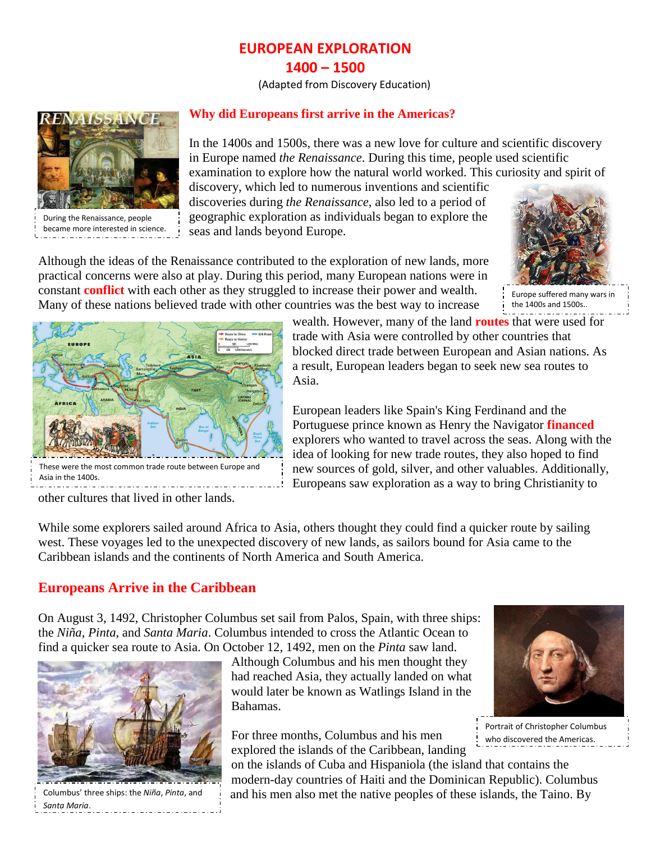# **EUROPEAN EXPLORATION 1400 – 1500**

(Adapted from Discovery Education)



During the Renaissance, people became more interested in science.

### **Why did Europeans first arrive in the Americas?**

In the 1400s and 1500s, there was a new love for [culture](http://app.discoveryeducation.com/techbook2:concept/view/guidConceptId/ee896649-d693-4d08-a17b-887ce19ef4b2/guidUnitId/548b498f-b4c3-4836-a245-61a6dc9c1400) and scientific discovery in [Europe](http://app.discoveryeducation.com/techbook2:concept/view/guidConceptId/ee896649-d693-4d08-a17b-887ce19ef4b2/guidUnitId/186fdcec-1552-46e7-8864-81a0fd966cb2) named *the [Renaissance](http://app.discoveryeducation.com/techbook2:concept/view/guidConceptId/ee896649-d693-4d08-a17b-887ce19ef4b2/guidUnitId/25b5098b-b75b-47c7-976b-fa56e17a3033)*. During this time, people used scientific examination to explore how the natural world worked. This curiosity and spirit of discovery, which led to numerous inventions and scientific

discoveries during *the Renaissance*, also led to a period of geographic exploration as individuals began to explore the seas and lands beyond Europe.



Although the ideas of the Renaissance contributed to the exploration of new lands, more practical concerns were also at play. During this period, many European nations were in constant **conflict** with each other as they struggled to increase their power and wealth. Many of these nations believed [trade](http://app.discoveryeducation.com/techbook2:concept/view/guidConceptId/ee896649-d693-4d08-a17b-887ce19ef4b2/guidUnitId/b135f3ca-3dff-4b38-834e-7c465019a2b1) with other countries was the best way to increase

Europe suffered many wars in the 1400s and 1500s..



wealth. However, many of the land **routes** that were used for trade with [Asia](http://app.discoveryeducation.com/techbook2:concept/view/guidConceptId/ee896649-d693-4d08-a17b-887ce19ef4b2/guidUnitId/3bff1c28-b8fd-423b-8302-0e698feadfc6) were controlled by other countries that blocked direct trade between European and Asian nations. As a result, European leaders began to seek new sea routes to Asia.

European leaders like [Spain's](http://app.discoveryeducation.com/techbook2:concept/view/guidConceptId/ee896649-d693-4d08-a17b-887ce19ef4b2/guidUnitId/e24cbec3-69b1-417c-8d56-c8b06e201afb) King Ferdinand and the Portuguese prince known as Henry the Navigator **financed** explorers who wanted to travel across the seas. Along with the idea of looking for new trade routes, they also hoped to find new sources of gold, silver, and other valuables. Additionally, Europeans saw exploration as a way to bring [Christianity](http://app.discoveryeducation.com/techbook2:concept/view/guidConceptId/ee896649-d693-4d08-a17b-887ce19ef4b2/guidUnitId/be69a43c-286d-4d30-9627-d64a1e6ed822) to

other cultures that lived in other lands.

While some explorers sailed around [Africa](http://app.discoveryeducation.com/techbook2:concept/view/guidConceptId/ee896649-d693-4d08-a17b-887ce19ef4b2/guidUnitId/559eb62e-e39a-4279-8f1b-02e3bb0d34d9) to Asia, others thought they could find a quicker route by sailing west. These voyages led to the unexpected discovery of new lands, as sailors bound for Asia came to the Caribbean islands and the continents of North America and [South America.](http://app.discoveryeducation.com/techbook2:concept/view/guidConceptId/ee896649-d693-4d08-a17b-887ce19ef4b2/guidUnitId/63669bdb-4810-46c9-b90e-ddb6c56495a5)

# **Europeans Arrive in the Caribbean**

On August 3, 1492, [Christopher Columbus](http://app.discoveryeducation.com/techbook2:concept/view/guidConceptId/ee896649-d693-4d08-a17b-887ce19ef4b2/guidUnitId/3a929823-20b1-45f7-b40a-bc69ca93ec79) set sail from Palos, [Spain,](http://app.discoveryeducation.com/techbook2:concept/view/guidConceptId/ee896649-d693-4d08-a17b-887ce19ef4b2/guidUnitId/e24cbec3-69b1-417c-8d56-c8b06e201afb) with three ships: the *Niña*, *Pinta*, and *Santa Maria*. Columbus intended to cross the [Atlantic Ocean](http://app.discoveryeducation.com/techbook2:concept/view/guidConceptId/ee896649-d693-4d08-a17b-887ce19ef4b2/guidUnitId/7502b5f1-d813-4c86-88d6-130a1c0807ca) to find a quicker sea route to [Asia.](http://app.discoveryeducation.com/techbook2:concept/view/guidConceptId/ee896649-d693-4d08-a17b-887ce19ef4b2/guidUnitId/3bff1c28-b8fd-423b-8302-0e698feadfc6) On October 12, 1492, men on the *Pinta* saw land.



Columbus' three ships: the *Niña*, *Pinta*, and *Santa Maria*.

Although Columbus and his men thought they had reached Asia, they actually landed on what would later be known as Watlings Island in the Bahamas.

For three months, Columbus and his men explored the islands of the Caribbean, landing

on the islands of Cuba and Hispaniola (the island that contains the modern-day countries of Haiti and the Dominican Republic). Columbus and his men also met the native peoples of these islands, the Taino. By



Portrait of Christopher Columbus who discovered the Americas.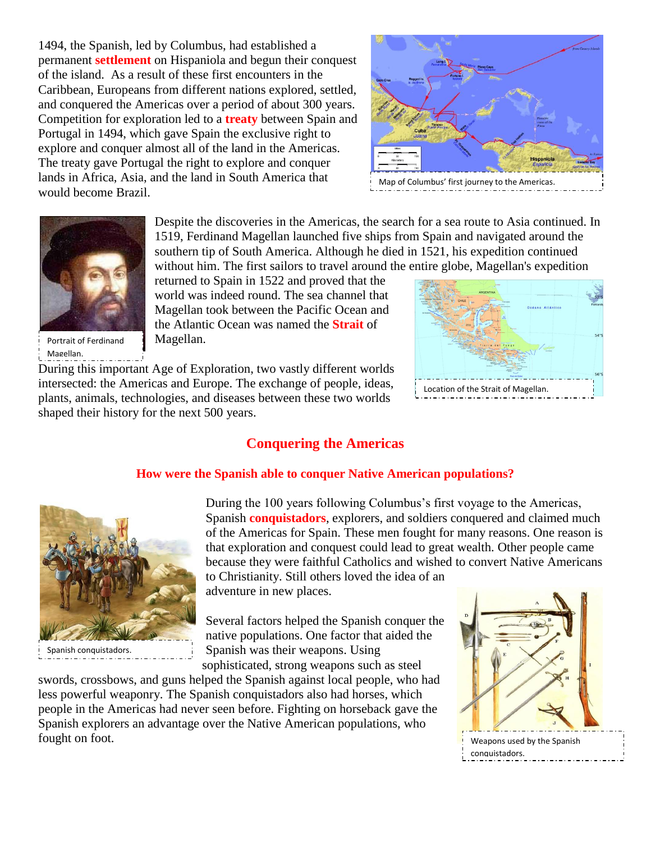1494, the Spanish, led by Columbus, had established a permanent **settlement** on Hispaniola and begun their conquest of the island. As a result of these first encounters in the Caribbean, Europeans from different nations explored, settled, and conquered the Americas over a period of about 300 years. Competition for exploration led to a **treaty** between Spain and Portugal in 1494, which gave Spain the exclusive right to explore and conquer almost all of the land in the Americas. The treaty gave Portugal the right to explore and conquer lands in [Africa,](http://app.discoveryeducation.com/techbook2:concept/view/guidConceptId/ee896649-d693-4d08-a17b-887ce19ef4b2/guidUnitId/559eb62e-e39a-4279-8f1b-02e3bb0d34d9) Asia, and the land in [South America](http://app.discoveryeducation.com/techbook2:concept/view/guidConceptId/ee896649-d693-4d08-a17b-887ce19ef4b2/guidUnitId/63669bdb-4810-46c9-b90e-ddb6c56495a5) that would become Brazil.





Portrait of Ferdinand Magellan.

Despite the discoveries in the Americas, the search for a sea route to Asia continued. In 1519, [Ferdinand Magellan](http://app.discoveryeducation.com/techbook2:concept/view/guidConceptId/ee896649-d693-4d08-a17b-887ce19ef4b2/guidUnitId/65b97bea-9741-4c0f-9c2c-20e7ac444e62) launched five ships from Spain and navigated around the southern tip of South America. Although he died in 1521, his [expedition](http://app.discoveryeducation.com/techbook2:concept/view/guidConceptId/ee896649-d693-4d08-a17b-887ce19ef4b2/guidUnitId/bb4a346b-6ee7-45b0-bcef-e88f735b90c3) continued without him. The first sailors to travel around the entire globe, Magellan's expedition

returned to Spain in 1522 and proved that the world was indeed round. The sea channel that Magellan took between the Pacific Ocean and the Atlantic Ocean was named the **Strait** of Magellan.

During this important Age of Exploration, two vastly different worlds intersected: the Americas and [Europe.](http://app.discoveryeducation.com/techbook2:concept/view/guidConceptId/ee896649-d693-4d08-a17b-887ce19ef4b2/guidUnitId/186fdcec-1552-46e7-8864-81a0fd966cb2) The exchange of people, ideas, plants, animals, technologies, and diseases between these two worlds shaped their history for the next 500 years.

#### **Conquering the Americas**

#### **How were the Spanish able to conquer Native American populations?**



Spanish conquistadors.

During the 100 years following Columbus's first voyage to the Americas, Spanish **[conquistadors](http://app.discoveryeducation.com/techbook2:concept/view/guidConceptId/ee896649-d693-4d08-a17b-887ce19ef4b2/guidUnitId/7d5644bd-1f6e-4db6-9467-0083cc64fce1)**, explorers, and soldiers conquered and claimed much of the Americas for [Spain.](http://app.discoveryeducation.com/techbook2:concept/view/guidConceptId/ee896649-d693-4d08-a17b-887ce19ef4b2/guidUnitId/e24cbec3-69b1-417c-8d56-c8b06e201afb) These men fought for many reasons. One reason is that exploration and conquest could lead to great wealth. Other people came because they were faithful Catholics and wished to convert Native Americans to [Christianity.](http://app.discoveryeducation.com/techbook2:concept/view/guidConceptId/ee896649-d693-4d08-a17b-887ce19ef4b2/guidUnitId/be69a43c-286d-4d30-9627-d64a1e6ed822) Still others loved the idea of an

adventure in new places.

Several factors helped the Spanish conquer the native populations. One factor that aided the Spanish was their weapons. Using sophisticated, strong weapons such as steel

swords, crossbows, and guns helped the Spanish against local people, who had less powerful weaponry. The Spanish conquistadors also had horses, which people in the Americas had never seen before. Fighting on horseback gave the Spanish explorers an advantage over the Native American populations, who fought on foot.